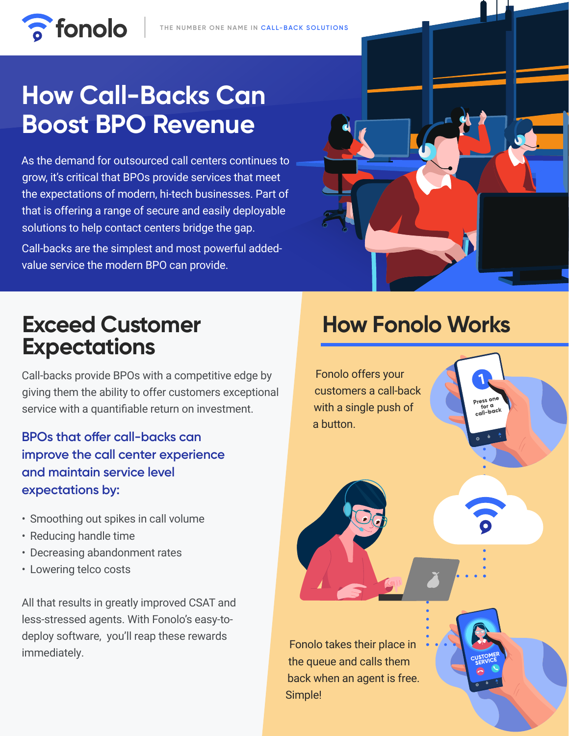

# **How Call-Backs Can Boost BPO Revenue**

**a** fonolo

As the demand for outsourced call centers continues to grow, it's critical that BPOs provide services that meet the expectations of modern, hi-tech businesses. Part of that is offering a range of secure and easily deployable solutions to help contact centers bridge the gap. Call-backs are the simplest and most powerful addedvalue service the modern BPO can provide.



### **Exceed Customer Expectations**

Call-backs provide BPOs with a competitive edge by giving them the ability to offer customers exceptional service with a quantifiable return on investment.

**BPOs that offer call-backs can improve the call center experience and maintain service level expectations by:**

- Smoothing out spikes in call volume
- Reducing handle time
- Decreasing abandonment rates
- Lowering telco costs

All that results in greatly improved CSAT and less-stressed agents. With Fonolo's easy-todeploy software, you'll reap these rewards immediately.

## **How Fonolo Works**

Fonolo offers your customers a call-back Press on with a single push of a button.

Fonolo takes their place in the queue and calls them back when an agent is free. Simple!